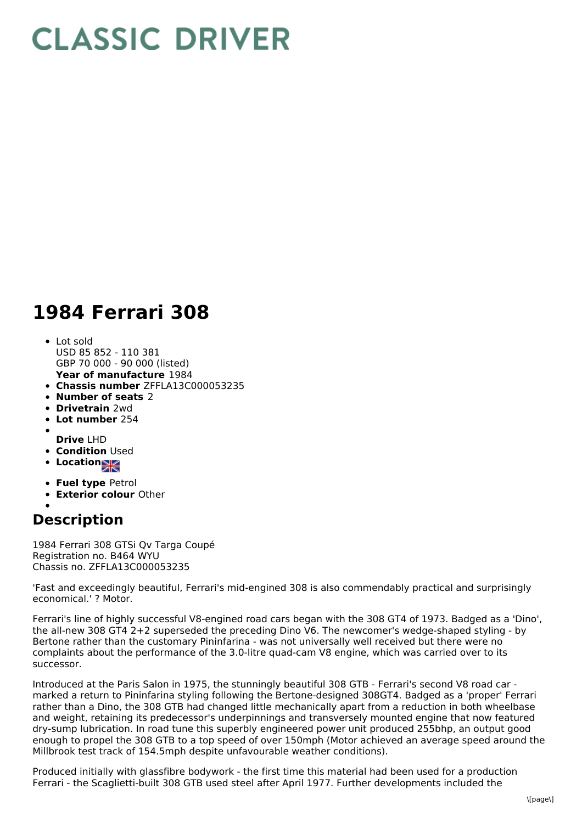## **CLASSIC DRIVER**

## **1984 Ferrari 308**

- **Year of manufacture** 1984 Lot sold USD 85 852 - 110 381 GBP 70 000 - 90 000 (listed)
- **Chassis number** ZFFLA13C000053235
- **Number of seats** 2
- **Drivetrain** 2wd
- **Lot number** 254
- **Drive** LHD
- **Condition Used**
- **Location**
- 
- **Fuel type** Petrol
- **Exterior colour** Other
- 

## **Description**

1984 Ferrari 308 GTSi Qv Targa Coupé Registration no. B464 WYU Chassis no. ZFFLA13C000053235

'Fast and exceedingly beautiful, Ferrari's mid-engined 308 is also commendably practical and surprisingly economical.' ? Motor.

Ferrari's line of highly successful V8-engined road cars began with the 308 GT4 of 1973. Badged as a 'Dino', the all-new 308 GT4 2+2 superseded the preceding Dino V6. The newcomer's wedge-shaped styling - by Bertone rather than the customary Pininfarina - was not universally well received but there were no complaints about the performance of the 3.0-litre quad-cam V8 engine, which was carried over to its successor.

Introduced at the Paris Salon in 1975, the stunningly beautiful 308 GTB - Ferrari's second V8 road car marked a return to Pininfarina styling following the Bertone-designed 308GT4. Badged as a 'proper' Ferrari rather than a Dino, the 308 GTB had changed little mechanically apart from a reduction in both wheelbase and weight, retaining its predecessor's underpinnings and transversely mounted engine that now featured dry-sump lubrication. In road tune this superbly engineered power unit produced 255bhp, an output good enough to propel the 308 GTB to a top speed of over 150mph (Motor achieved an average speed around the Millbrook test track of 154.5mph despite unfavourable weather conditions).

Produced initially with glassfibre bodywork - the first time this material had been used for a production Ferrari - the Scaglietti-built 308 GTB used steel after April 1977. Further developments included the